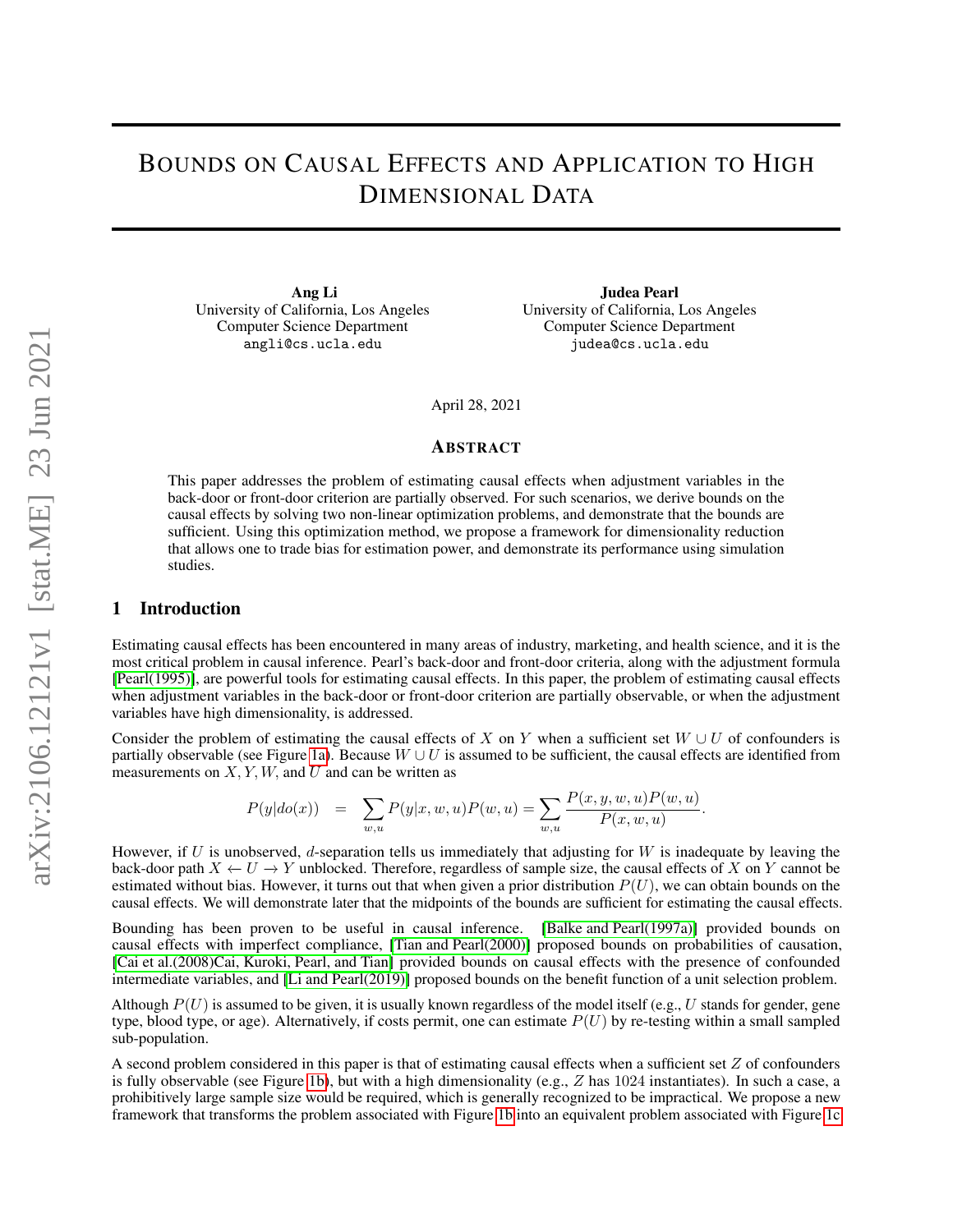# BOUNDS ON CAUSAL EFFECTS AND APPLICATION TO HIGH DIMENSIONAL DATA

Ang Li University of California, Los Angeles Computer Science Department angli@cs.ucla.edu

Judea Pearl University of California, Los Angeles Computer Science Department judea@cs.ucla.edu

April 28, 2021

#### ABSTRACT

This paper addresses the problem of estimating causal effects when adjustment variables in the back-door or front-door criterion are partially observed. For such scenarios, we derive bounds on the causal effects by solving two non-linear optimization problems, and demonstrate that the bounds are sufficient. Using this optimization method, we propose a framework for dimensionality reduction that allows one to trade bias for estimation power, and demonstrate its performance using simulation studies.

### 1 Introduction

Estimating causal effects has been encountered in many areas of industry, marketing, and health science, and it is the most critical problem in causal inference. Pearl's back-door and front-door criteria, along with the adjustment formula [\[Pearl\(1995\)\]](#page-9-0), are powerful tools for estimating causal effects. In this paper, the problem of estimating causal effects when adjustment variables in the back-door or front-door criterion are partially observable, or when the adjustment variables have high dimensionality, is addressed.

Consider the problem of estimating the causal effects of X on Y when a sufficient set  $W \cup U$  of confounders is partially observable (see Figure [1a\)](#page-1-0). Because  $W \cup U$  is assumed to be sufficient, the causal effects are identified from measurements on  $X, Y, W$ , and U and can be written as

$$
P(y|do(x)) = \sum_{w,u} P(y|x, w, u)P(w, u) = \sum_{w,u} \frac{P(x, y, w, u)P(w, u)}{P(x, w, u)}.
$$

However, if U is unobserved, d-separation tells us immediately that adjusting for W is inadequate by leaving the back-door path  $X \leftarrow U \rightarrow Y$  unblocked. Therefore, regardless of sample size, the causal effects of X on Y cannot be estimated without bias. However, it turns out that when given a prior distribution  $P(U)$ , we can obtain bounds on the causal effects. We will demonstrate later that the midpoints of the bounds are sufficient for estimating the causal effects.

Bounding has been proven to be useful in causal inference. [\[Balke and Pearl\(1997a\)\]](#page-8-0) provided bounds on causal effects with imperfect compliance, [\[Tian and Pearl\(2000\)\]](#page-9-1) proposed bounds on probabilities of causation, [\[Cai et al.\(2008\)Cai, Kuroki, Pearl, and Tian\]](#page-8-1) provided bounds on causal effects with the presence of confounded intermediate variables, and [\[Li and Pearl\(2019\)\]](#page-8-2) proposed bounds on the benefit function of a unit selection problem.

Although  $P(U)$  is assumed to be given, it is usually known regardless of the model itself (e.g., U stands for gender, gene type, blood type, or age). Alternatively, if costs permit, one can estimate  $P(U)$  by re-testing within a small sampled sub-population.

A second problem considered in this paper is that of estimating causal effects when a sufficient set  $Z$  of confounders is fully observable (see Figure [1b\)](#page-1-0), but with a high dimensionality (e.g.,  $Z$  has 1024 instantiates). In such a case, a prohibitively large sample size would be required, which is generally recognized to be impractical. We propose a new framework that transforms the problem associated with Figure [1b](#page-1-0) into an equivalent problem associated with Figure [1c](#page-1-0)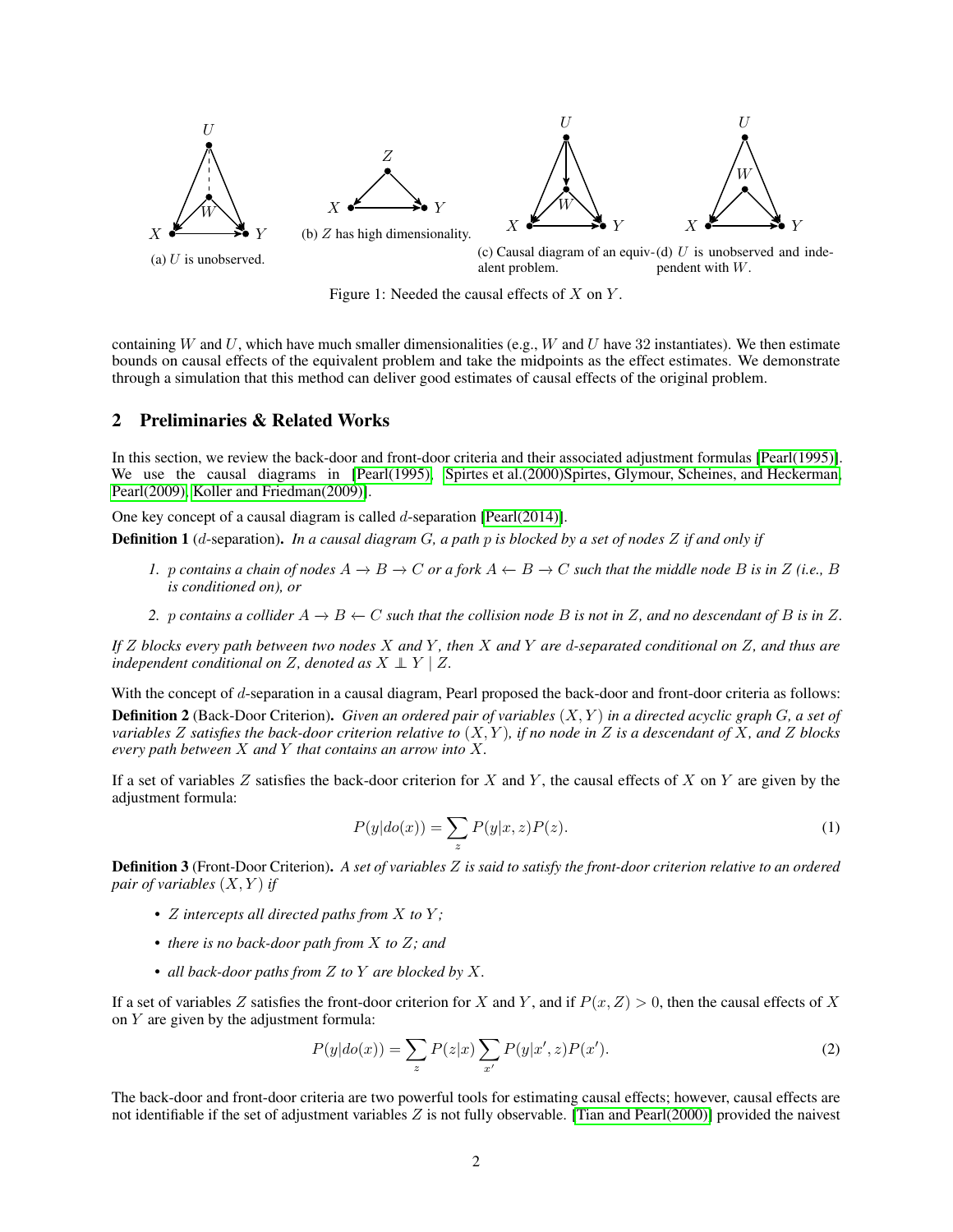<span id="page-1-0"></span>

Figure 1: Needed the causal effects of  $X$  on  $Y$ .

containing W and U, which have much smaller dimensionalities (e.g., W and U have 32 instantiates). We then estimate bounds on causal effects of the equivalent problem and take the midpoints as the effect estimates. We demonstrate through a simulation that this method can deliver good estimates of causal effects of the original problem.

### 2 Preliminaries & Related Works

In this section, we review the back-door and front-door criteria and their associated adjustment formulas [\[Pearl\(1995\)\]](#page-9-0). We use the causal diagrams in [\[Pearl\(1995\),](#page-9-0) [Spirtes et al.\(2000\)Spirtes, Glymour, Scheines, and Heckerman,](#page-9-2) [Pearl\(2009\),](#page-9-3) [Koller and Friedman\(2009\)\]](#page-8-3).

One key concept of a causal diagram is called d-separation [\[Pearl\(2014\)\]](#page-9-4).

Definition 1 (d-separation). *In a causal diagram* G*, a path* p *is blocked by a set of nodes* Z *if and only if*

- *1.* p contains a chain of nodes  $A \to B \to C$  or a fork  $A \leftarrow B \to C$  such that the middle node B is in Z (i.e., B *is conditioned on), or*
- *2.* p *contains a collider*  $A$  →  $B$  ← C *such that the collision node* B *is not in* Z, and no descendant of B *is in* Z.

*If* Z *blocks every path between two nodes* X *and* Y *, then* X *and* Y *are* d*-separated conditional on* Z*, and thus are independent conditional on* Z, denoted as  $X \perp Y \mid Z$ .

With the concept of d-separation in a causal diagram, Pearl proposed the back-door and front-door criteria as follows:

Definition 2 (Back-Door Criterion). *Given an ordered pair of variables* (X, Y ) *in a directed acyclic graph* G*, a set of variables* Z *satisfies the back-door criterion relative to* (X, Y )*, if no node in* Z *is a descendant of* X*, and* Z *blocks every path between* X *and* Y *that contains an arrow into* X*.*

If a set of variables Z satisfies the back-door criterion for X and Y, the causal effects of X on Y are given by the adjustment formula:

<span id="page-1-1"></span>
$$
P(y|do(x)) = \sum_{z} P(y|x, z)P(z).
$$
 (1)

Definition 3 (Front-Door Criterion). *A set of variables* Z *is said to satisfy the front-door criterion relative to an ordered pair of variables*  $(X, Y)$  *if* 

- Z *intercepts all directed paths from* X *to* Y *;*
- *there is no back-door path from* X *to* Z*; and*
- *all back-door paths from* Z *to* Y *are blocked by* X*.*

If a set of variables Z satisfies the front-door criterion for X and Y, and if  $P(x, Z) > 0$ , then the causal effects of X on Y are given by the adjustment formula:

<span id="page-1-2"></span>
$$
P(y|do(x)) = \sum_{z} P(z|x) \sum_{x'} P(y|x', z) P(x').
$$
 (2)

The back-door and front-door criteria are two powerful tools for estimating causal effects; however, causal effects are not identifiable if the set of adjustment variables  $Z$  is not fully observable. [\[Tian and Pearl\(2000\)\]](#page-9-1) provided the naivest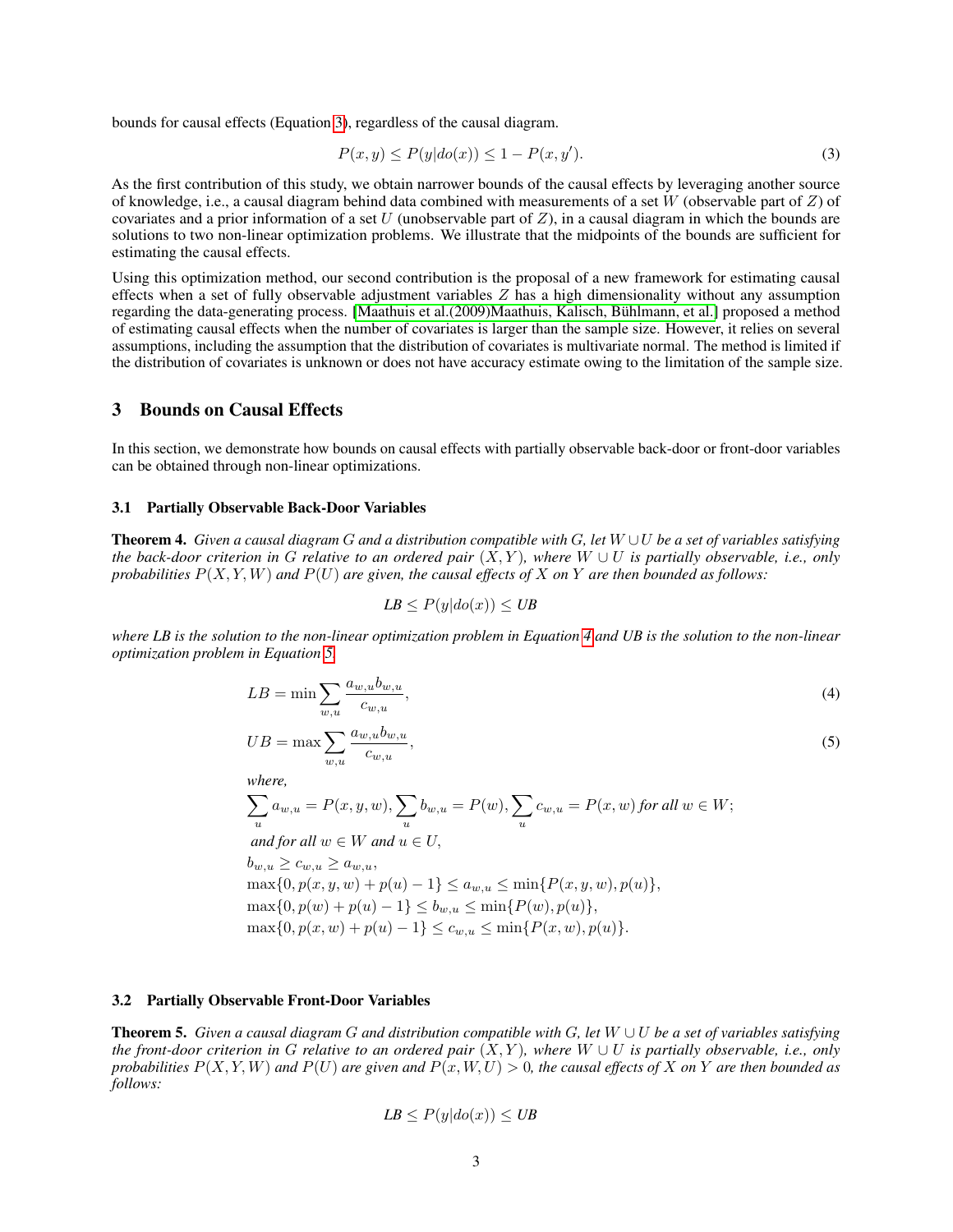bounds for causal effects (Equation [3\)](#page-2-0), regardless of the causal diagram.

<span id="page-2-0"></span>
$$
P(x,y) \le P(y|do(x)) \le 1 - P(x,y'). \tag{3}
$$

As the first contribution of this study, we obtain narrower bounds of the causal effects by leveraging another source of knowledge, i.e., a causal diagram behind data combined with measurements of a set W (observable part of  $Z$ ) of covariates and a prior information of a set U (unobservable part of  $Z$ ), in a causal diagram in which the bounds are solutions to two non-linear optimization problems. We illustrate that the midpoints of the bounds are sufficient for estimating the causal effects.

Using this optimization method, our second contribution is the proposal of a new framework for estimating causal effects when a set of fully observable adjustment variables  $Z$  has a high dimensionality without any assumption regarding the data-generating process. [\[Maathuis et al.\(2009\)Maathuis, Kalisch, Bühlmann, et al.\]](#page-9-5) proposed a method of estimating causal effects when the number of covariates is larger than the sample size. However, it relies on several assumptions, including the assumption that the distribution of covariates is multivariate normal. The method is limited if the distribution of covariates is unknown or does not have accuracy estimate owing to the limitation of the sample size.

## 3 Bounds on Causal Effects

In this section, we demonstrate how bounds on causal effects with partially observable back-door or front-door variables can be obtained through non-linear optimizations.

#### <span id="page-2-2"></span>3.1 Partially Observable Back-Door Variables

Theorem 4. *Given a causal diagram* G *and a distribution compatible with* G*, let* W ∪U *be a set of variables satisfying the back-door criterion in* G *relative to an ordered pair*  $(X, Y)$ *, where*  $W \cup U$  *is partially observable, i.e., only probabilities* P(X, Y, W) *and* P(U) *are given, the causal effects of* X *on* Y *are then bounded as follows:*

$$
LB \le P(y|do(x)) \le UB
$$

*where LB is the solution to the non-linear optimization problem in Equation [4](#page-2-1) and UB is the solution to the non-linear optimization problem in Equation [5.](#page-2-1)*

<span id="page-2-1"></span>
$$
LB = \min \sum_{w,u} \frac{a_{w,u}b_{w,u}}{c_{w,u}},\tag{4}
$$

$$
UB = \max \sum_{w,u} \frac{a_{w,u}b_{w,u}}{c_{w,u}},\tag{5}
$$

*where,*

$$
\sum_{u} a_{w,u} = P(x, y, w), \sum_{u} b_{w,u} = P(w), \sum_{u} c_{w,u} = P(x, w) \text{ for all } w \in W; \nand for all  $w \in W$  and  $u \in U$ ,  
\n $b_{w,u} \ge c_{w,u} \ge a_{w,u},$   
\n $\max\{0, p(x, y, w) + p(u) - 1\} \le a_{w,u} \le \min\{P(x, y, w), p(u)\},$   
\n $\max\{0, p(w) + p(u) - 1\} \le b_{w,u} \le \min\{P(w), p(u)\},$   
\n $\max\{0, p(x, w) + p(u) - 1\} \le c_{w,u} \le \min\{P(x, w), p(u)\}.$
$$

#### <span id="page-2-3"></span>3.2 Partially Observable Front-Door Variables

Theorem 5. *Given a causal diagram* G *and distribution compatible with* G*, let* W ∪ U *be a set of variables satisfying the front-door criterion in* G *relative to an ordered pair*  $(X, Y)$ *, where*  $W \cup U$  *is partially observable, i.e., only probabilities*  $P(X, Y, W)$  *and*  $P(U)$  *are given and*  $P(x, W, U) > 0$ *, the causal effects of* X *on* Y *are then bounded as follows:*

$$
LB \le P(y|do(x)) \le UB
$$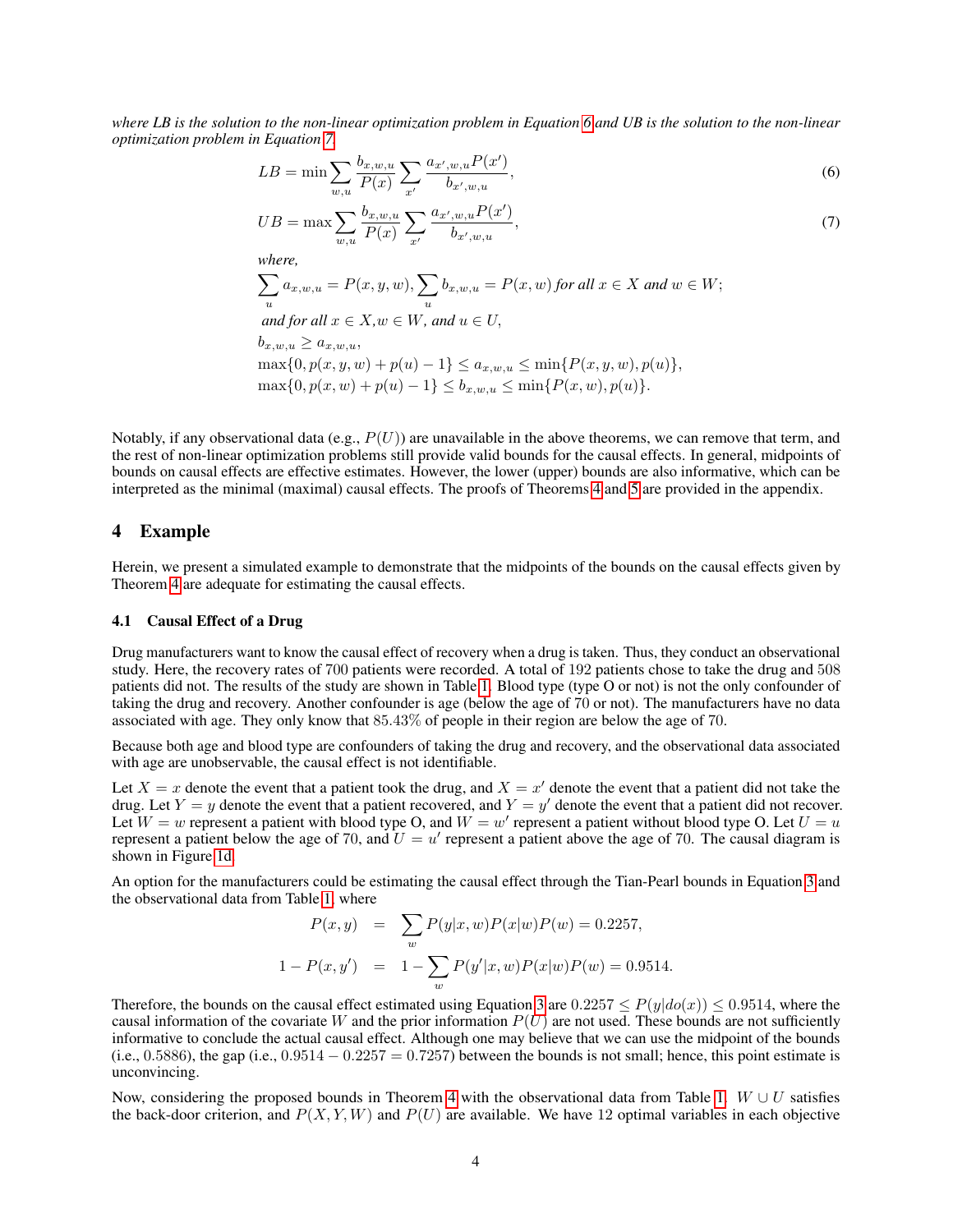*where LB is the solution to the non-linear optimization problem in Equation [6](#page-3-0) and UB is the solution to the non-linear optimization problem in Equation [7.](#page-3-0)*

<span id="page-3-0"></span>
$$
LB = \min \sum_{w,u} \frac{b_{x,w,u}}{P(x)} \sum_{x'} \frac{a_{x',w,u} P(x')}{b_{x',w,u}},
$$
\n(6)

$$
UB = \max \sum_{w,u} \frac{b_{x,w,u}}{P(x)} \sum_{x'} \frac{a_{x',w,u} P(x')}{b_{x',w,u}},
$$
\n(7)

*where,*

$$
\sum_{u} a_{x,w,u} = P(x, y, w), \sum_{u} b_{x,w,u} = P(x, w) \text{ for all } x \in X \text{ and } w \in W;
$$
  
and for all  $x \in X, w \in W$ , and  $u \in U$ ,  

$$
b_{x,w,u} > a_{x,w,u},
$$

$$
\max\{0, p(x, y, w) + p(u) - 1\} \le a_{x, w, u} \le \min\{P(x, y, w), p(u)\},
$$
  

$$
\max\{0, p(x, w) + p(u) - 1\} \le b_{x, w, u} \le \min\{P(x, w), p(u)\}.
$$

Notably, if any observational data (e.g.,  $P(U)$ ) are unavailable in the above theorems, we can remove that term, and the rest of non-linear optimization problems still provide valid bounds for the causal effects. In general, midpoints of bounds on causal effects are effective estimates. However, the lower (upper) bounds are also informative, which can be interpreted as the minimal (maximal) causal effects. The proofs of Theorems [4](#page-2-1) and [5](#page-3-0) are provided in the appendix.

# 4 Example

Herein, we present a simulated example to demonstrate that the midpoints of the bounds on the causal effects given by Theorem [4](#page-2-1) are adequate for estimating the causal effects.

#### 4.1 Causal Effect of a Drug

Drug manufacturers want to know the causal effect of recovery when a drug is taken. Thus, they conduct an observational study. Here, the recovery rates of 700 patients were recorded. A total of 192 patients chose to take the drug and 508 patients did not. The results of the study are shown in Table [1.](#page-4-0) Blood type (type O or not) is not the only confounder of taking the drug and recovery. Another confounder is age (below the age of 70 or not). The manufacturers have no data associated with age. They only know that 85.43% of people in their region are below the age of 70.

Because both age and blood type are confounders of taking the drug and recovery, and the observational data associated with age are unobservable, the causal effect is not identifiable.

Let  $X = x$  denote the event that a patient took the drug, and  $X = x'$  denote the event that a patient did not take the drug. Let  $Y = y$  denote the event that a patient recovered, and  $Y = y'$  denote the event that a patient did not recover. Let  $W = w$  represent a patient with blood type O, and  $W = w'$  represent a patient without blood type O. Let  $U = u$ represent a patient below the age of 70, and  $\hat{U} = u'$  represent a patient above the age of 70. The causal diagram is shown in Figure [1d.](#page-1-0)

An option for the manufacturers could be estimating the causal effect through the Tian-Pearl bounds in Equation [3](#page-2-0) and the observational data from Table [1,](#page-4-0) where

$$
P(x, y) = \sum_{w} P(y|x, w)P(x|w)P(w) = 0.2257,
$$
  

$$
1 - P(x, y') = 1 - \sum_{w} P(y'|x, w)P(x|w)P(w) = 0.9514.
$$

Therefore, the bounds on the causal effect estimated using Equation [3](#page-2-0) are  $0.2257 \leq P(y|do(x)) \leq 0.9514$ , where the causal information of the covariate W and the prior information  $P(U)$  are not used. These bounds are not sufficiently informative to conclude the actual causal effect. Although one may believe that we can use the midpoint of the bounds (i.e., 0.5886), the gap (i.e., 0.9514  $-$  0.2257 = 0.7257) between the bounds is not small; hence, this point estimate is unconvincing.

Now, considering the proposed bounds in Theorem [4](#page-2-1) with the observational data from Table [1.](#page-4-0) W ∪ U satisfies the back-door criterion, and  $P(X, Y, W)$  and  $P(U)$  are available. We have 12 optimal variables in each objective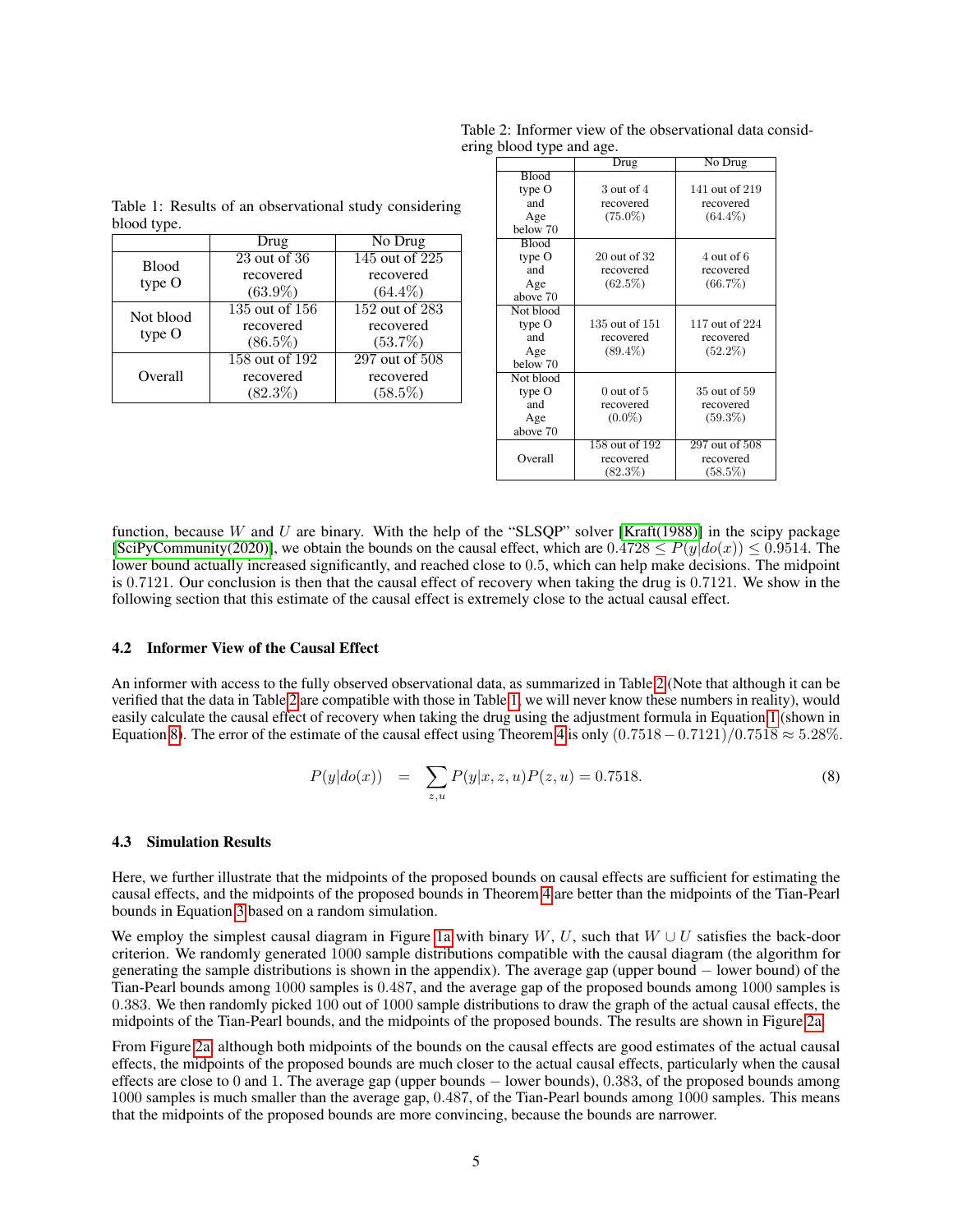| No Drug        |
|----------------|
| 145 out of 225 |
| recovered      |
| $(64.4\%)$     |
| 152 out of 283 |
| recovered      |
| $(53.7\%)$     |
| 297 out of 508 |
| recovered      |
| $(58.5\%)$     |
|                |

<span id="page-4-0"></span>Table 1: Results of an observational study considering

Table 2: Informer view of the observational data considering blood type and age.

|              | Drug           | No Drug        |
|--------------|----------------|----------------|
| <b>Blood</b> |                |                |
| type O       | 3 out of 4     | 141 out of 219 |
| and          | recovered      | recovered      |
| Age          | $(75.0\%)$     | $(64.4\%)$     |
| below 70     |                |                |
| <b>Blood</b> |                |                |
| type O       | 20 out of 32   | 4 out of 6     |
| and          | recovered      | recovered      |
| Age          | (62.5%)        | (66.7%)        |
| above 70     |                |                |
| Not blood    |                |                |
| type O       | 135 out of 151 | 117 out of 224 |
| and          | recovered      | recovered      |
| Age          | $(89.4\%)$     | $(52.2\%)$     |
| below 70     |                |                |
| Not blood    |                |                |
| type O       | $0$ out of 5   | 35 out of 59   |
| and          | recovered      | recovered      |
| Age          | $(0.0\%)$      | $(59.3\%)$     |
| above 70     |                |                |
|              | 158 out of 192 | 297 out of 508 |
| Overall      | recovered      | recovered      |
|              | $(82.3\%)$     | (58.5%)        |

function, because W and U are binary. With the help of the "SLSQP" solver [\[Kraft\(1988\)\]](#page-8-4) in the scipy package [\[SciPyCommunity\(2020\)\]](#page-9-6), we obtain the bounds on the causal effect, which are  $0.4728 \leq P(y|do(x)) \leq 0.9514$ . The lower bound actually increased significantly, and reached close to 0.5, which can help make decisions. The midpoint is 0.7121. Our conclusion is then that the causal effect of recovery when taking the drug is 0.7121. We show in the following section that this estimate of the causal effect is extremely close to the actual causal effect.

#### 4.2 Informer View of the Causal Effect

An informer with access to the fully observed observational data, as summarized in Table [2](#page-4-0) (Note that although it can be verified that the data in Table [2](#page-4-0) are compatible with those in Table [1,](#page-4-0) we will never know these numbers in reality), would easily calculate the causal effect of recovery when taking the drug using the adjustment formula in Equation [1](#page-1-1) (shown in Equation [8\)](#page-4-1). The error of the estimate of the causal effect using Theorem [4](#page-2-1) is only  $(0.7518 - 0.7121)/0.7518 \approx 5.28\%$ .

<span id="page-4-1"></span>
$$
P(y|do(x)) = \sum_{z,u} P(y|x, z, u)P(z, u) = 0.7518.
$$
 (8)

#### <span id="page-4-2"></span>4.3 Simulation Results

Here, we further illustrate that the midpoints of the proposed bounds on causal effects are sufficient for estimating the causal effects, and the midpoints of the proposed bounds in Theorem [4](#page-2-1) are better than the midpoints of the Tian-Pearl bounds in Equation [3](#page-2-0) based on a random simulation.

We employ the simplest causal diagram in Figure [1a](#page-1-0) with binary W, U, such that  $W \cup U$  satisfies the back-door criterion. We randomly generated 1000 sample distributions compatible with the causal diagram (the algorithm for generating the sample distributions is shown in the appendix). The average gap (upper bound − lower bound) of the Tian-Pearl bounds among 1000 samples is 0.487, and the average gap of the proposed bounds among 1000 samples is 0.383. We then randomly picked 100 out of 1000 sample distributions to draw the graph of the actual causal effects, the midpoints of the Tian-Pearl bounds, and the midpoints of the proposed bounds. The results are shown in Figure [2a.](#page-5-0)

From Figure [2a,](#page-5-0) although both midpoints of the bounds on the causal effects are good estimates of the actual causal effects, the midpoints of the proposed bounds are much closer to the actual causal effects, particularly when the causal effects are close to 0 and 1. The average gap (upper bounds − lower bounds), 0.383, of the proposed bounds among 1000 samples is much smaller than the average gap, 0.487, of the Tian-Pearl bounds among 1000 samples. This means that the midpoints of the proposed bounds are more convincing, because the bounds are narrower.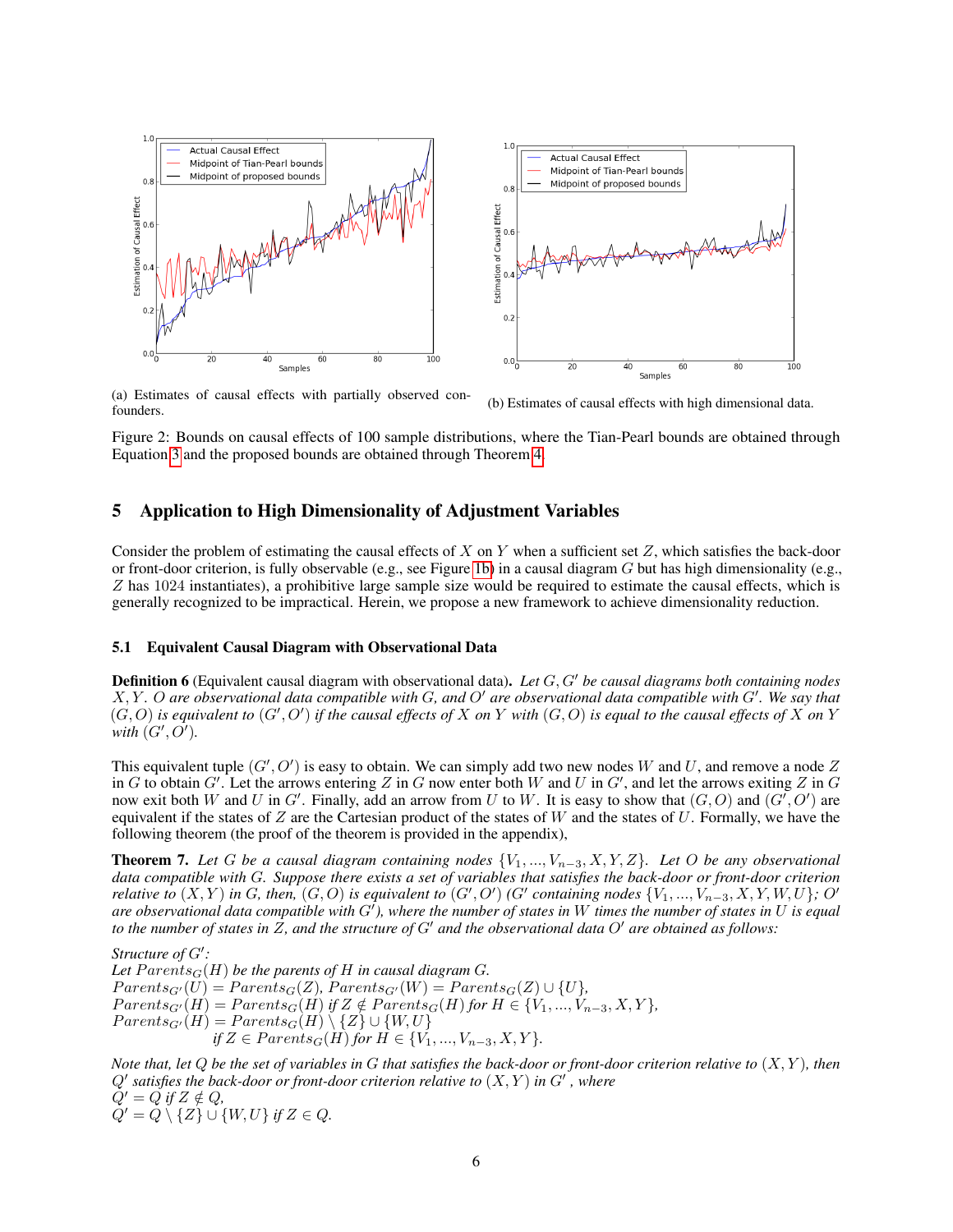<span id="page-5-0"></span>

(a) Estimates of causal effects with partially observed con-(a) Estimates of causal effects with partially observed con-<br>founders.

Figure 2: Bounds on causal effects of 100 sample distributions, where the Tian-Pearl bounds are obtained through Equation [3](#page-2-0) and the proposed bounds are obtained through Theorem [4.](#page-2-1)

### <span id="page-5-2"></span>5 Application to High Dimensionality of Adjustment Variables

Consider the problem of estimating the causal effects of X on Y when a sufficient set  $Z$ , which satisfies the back-door or front-door criterion, is fully observable (e.g., see Figure [1b\)](#page-1-0) in a causal diagram  $G$  but has high dimensionality (e.g., Z has 1024 instantiates), a prohibitive large sample size would be required to estimate the causal effects, which is generally recognized to be impractical. Herein, we propose a new framework to achieve dimensionality reduction.

#### <span id="page-5-3"></span>5.1 Equivalent Causal Diagram with Observational Data

**Definition 6** (Equivalent causal diagram with observational data). Let G, G' be causal diagrams both containing nodes  $X, Y$ . O are observational data compatible with G, and O' are observational data compatible with G'. We say that  $(G, O)$  is equivalent to  $(G', O')$  if the causal effects of X on Y with  $(G, O)$  is equal to the causal effects of X on Y with  $(G', \overline{O'})$ .

This equivalent tuple  $(G', O')$  is easy to obtain. We can simply add two new nodes W and U, and remove a node Z in G to obtain  $G'$ . Let the arrows entering Z in G now enter both W and U in  $G'$ , and let the arrows exiting Z in G now exit both W and U in G'. Finally, add an arrow from U to W. It is easy to show that  $(G, O)$  and  $(G', O')$  are equivalent if the states of  $Z$  are the Cartesian product of the states of  $W$  and the states of  $U$ . Formally, we have the following theorem (the proof of the theorem is provided in the appendix),

<span id="page-5-1"></span>Theorem 7. *Let* G *be a causal diagram containing nodes* {V1, ..., Vn−3, X, Y, Z}*. Let* O *be any observational data compatible with* G*. Suppose there exists a set of variables that satisfies the back-door or front-door criterion relative to*  $(X, Y)$  in G, then,  $(G, O)$  is equivalent to  $(G', O')$  (G' containing nodes  $\{V_1, ..., V_{n-3}, X, Y, W, U\}$ ; O' are observational data compatible with G<sup>t</sup>), where the number of states in W times the number of states in U is equal *to the number of states in Z, and the structure of G' and the observational data O' are obtained as follows:* 

Structure of  $G'$ : Let  $Parents<sub>G</sub>(H)$  *be the parents of* H *in causal diagram G*.  $Parents_{G'}(U) = Parents_{G}(Z)$ ,  $Parents_{G'}(W) = Parents_{G}(Z) \cup \{U\},$  $Parents<sub>G'</sub>(H) = Parents<sub>G</sub>(H)$  *if*  $Z \notin Parents<sub>G</sub>(H)$  *for*  $H \in \{V_1, ..., V_{n-3}, X, Y\}$ *,*  $Parents_{G'}(H) = Parents_{G}(H) \setminus \{Z\} \cup \{W,U\}$ *if*  $Z \in Parents_{G}(H)$  *for*  $H \in \{V_1, ..., V_{n-3}, X, Y\}.$ 

*Note that, let* Q *be the set of variables in* G *that satisfies the back-door or front-door criterion relative to* (X, Y )*, then*  $Q'$  satisfies the back-door or front-door criterion relative to  $(X,Y)$  in  $G'$  , where  $Q' = Q$  *if*  $Z \notin Q$ *,*  $Q' = Q \setminus \{Z\} \cup \{W, U\}$  *if*  $Z \in Q$ .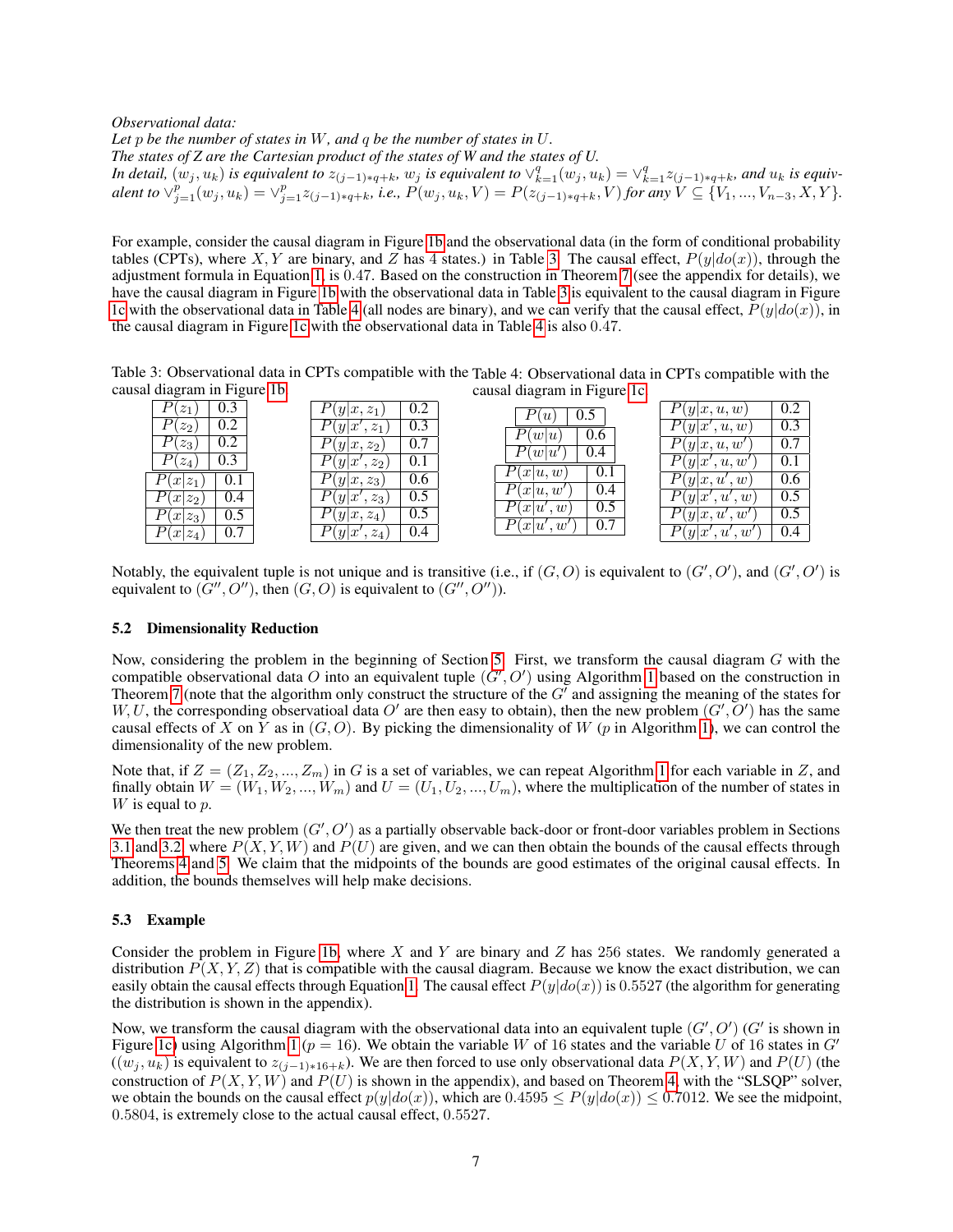*Observational data:*

*Let* p *be the number of states in* W*, and* q *be the number of states in* U*.*

*The states of Z are the Cartesian product of the states of W and the states of U.*

*In detail,*  $(w_j, u_k)$  *is equivalent to*  $z_{(j-1)*q+k}$ ,  $w_j$  *is equivalent to*  $\vee_{k=1}^q (w_j, u_k) = \vee_{k=1}^q z_{(j-1)*q+k}$ , and  $u_k$  *is equiv-* $\mathcal{L}$  alent to  $\vee_{j=1}^p(w_j, u_k) = \vee_{j=1}^p z_{(j-1)*q+k}$ , i.e.,  $P(w_j, u_k, V) = P(z_{(j-1)*q+k}^{\text{max}}, V)$  for any  $V \subseteq \{V_1, ..., V_{n-3}, X, Y\}$ .

For example, consider the causal diagram in Figure [1b](#page-1-0) and the observational data (in the form of conditional probability tables (CPTs), where X, Y are binary, and Z has 4 states.) in Table [3.](#page-6-0) The causal effect,  $P(y|do(x))$ , through the adjustment formula in Equation [1,](#page-1-1) is 0.47. Based on the construction in Theorem [7](#page-5-1) (see the appendix for details), we have the causal diagram in Figure [1b](#page-1-0) with the observational data in Table [3](#page-6-0) is equivalent to the causal diagram in Figure [1c](#page-1-0) with the observational data in Table [4](#page-6-0) (all nodes are binary), and we can verify that the causal effect,  $P(y|do(x))$ , in the causal diagram in Figure [1c](#page-1-0) with the observational data in Table [4](#page-6-0) is also 0.47.

<span id="page-6-0"></span>Table 3: Observational data in CPTs compatible with the Table 4: Observational data in CPTs compatible with the causal diagram in Figure [1b.](#page-1-0) causal diagram in Figure [1c.](#page-1-0)

| ັ<br>ັ                                    |                                 |                              |                            |     |
|-------------------------------------------|---------------------------------|------------------------------|----------------------------|-----|
| $\bar{p_2}$<br>0.3                        | 0.2<br>$(y x, z_1)$             | 0.5<br>$\lceil u \rceil$     | $\prime(y x, u, w)$        | 0.2 |
| $\overline{P(z_2)}$<br>$\overline{0.2}$   | 0.3<br>$z_1$<br> y x'           | $\overline{P(w u)}$<br>0.6   | P(y x',u,w)                | 0.3 |
| $P(z_3)$<br>0.2                           | $\overline{0.7}$<br>$(y x,z_2)$ | $\overline{P(w u')}$<br>0.4  | $\overline{P(y x, u, w')}$ | 0.7 |
| 0.3<br>$(z_4)$                            | 0.1<br>$z_2$<br> y x'           |                              | P(y x',u,w')               | 0.1 |
| $P(x z_1)$<br>0.1                         | $P(y x,z_3)$<br>0.6             | 0.1<br>$\overline{P}(x u,w)$ | $\overline{P}(y x, u', w)$ | 0.6 |
| $\overline{P(x z_2)}$<br>0.4              | 0.5<br>P(y x' )<br>$z_3$        | $\overline{P(x }u,w'$<br>0.4 | P(y x',u',w)               | 0.5 |
| $P(x z_3)$<br>0.5                         | 0.5<br>$(y x,z_4)$              | 0.5<br>P(x u',w)             | '(y x, u', w')             | 0.5 |
| $\overline{0.7}$<br>$\overline{P(x z_4)}$ | 0.4<br>$(y x',z_4)$             | 0.7<br>P(x u',w')            | $\prime(y x',u',w')$       | 0.4 |

Notably, the equivalent tuple is not unique and is transitive (i.e., if  $(G, O)$  is equivalent to  $(G', O')$ , and  $(G', O')$  is equivalent to  $(G'', O'')$ , then  $(G, O)$  is equivalent to  $(G'', O'')$ ).

#### 5.2 Dimensionality Reduction

Now, considering the problem in the beginning of Section [5.](#page-5-2) First, we transform the causal diagram G with the compatible observational data O into an equivalent tuple  $(G', O')$  using Algorithm [1](#page-7-0) based on the construction in Theorem [7](#page-5-1) (note that the algorithm only construct the structure of the  $G<sup>T</sup>$  and assigning the meaning of the states for W, U, the corresponding observatioal data O' are then easy to obtain), then the new problem  $(G', O')$  has the same causal effects of X on Y as in  $(G, O)$ . By picking the dimensionality of W (p in Algorithm [1\)](#page-7-0), we can control the dimensionality of the new problem.

Note that, if  $Z = (Z_1, Z_2, ..., Z_m)$  in G is a set of variables, we can repeat Algorithm [1](#page-7-0) for each variable in Z, and finally obtain  $W = (W_1, W_2, ..., W_m)$  and  $U = (U_1, U_2, ..., U_m)$ , where the multiplication of the number of states in  $W$  is equal to  $p$ .

We then treat the new problem  $(G', O')$  as a partially observable back-door or front-door variables problem in Sections [3.1](#page-2-2) and [3.2,](#page-2-3) where  $P(X, Y, W)$  and  $P(U)$  are given, and we can then obtain the bounds of the causal effects through Theorems [4](#page-2-1) and [5.](#page-3-0) We claim that the midpoints of the bounds are good estimates of the original causal effects. In addition, the bounds themselves will help make decisions.

#### <span id="page-6-1"></span>5.3 Example

Consider the problem in Figure [1b,](#page-1-0) where X and Y are binary and Z has 256 states. We randomly generated a distribution  $P(X, Y, Z)$  that is compatible with the causal diagram. Because we know the exact distribution, we can easily obtain the causal effects through Equation [1.](#page-1-1) The causal effect  $P(y|do(x))$  is 0.5527 (the algorithm for generating the distribution is shown in the appendix).

Now, we transform the causal diagram with the observational data into an equivalent tuple  $(G', O')$  ( $G'$  is shown in Figure [1c\)](#page-1-0) using Algorithm [1](#page-7-0) ( $p = 16$ ). We obtain the variable W of 16 states and the variable U of 16 states in G'  $((w_j, u_k)$  is equivalent to  $z_{(j-1)*16+k}$ ). We are then forced to use only observational data  $P(X, Y, W)$  and  $P(U)$  (the construction of  $P(X, Y, W)$  and  $P(U)$  is shown in the appendix), and based on Theorem [4,](#page-2-1) with the "SLSQP" solver, we obtain the bounds on the causal effect  $p(y|do(x))$ , which are  $0.4595 \leq P(y|do(x)) \leq 0.7012$ . We see the midpoint, 0.5804, is extremely close to the actual causal effect, 0.5527.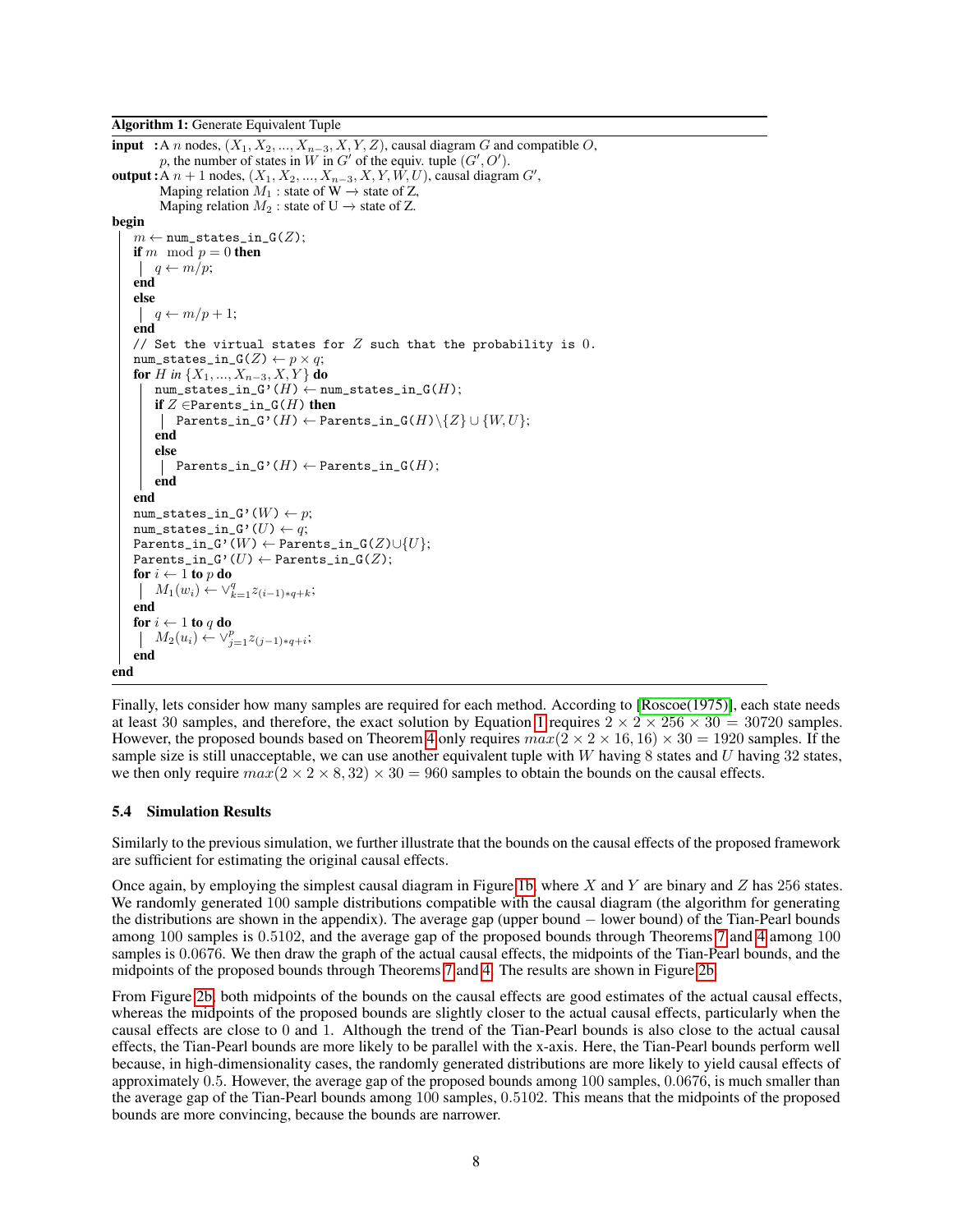```
input :A n nodes, (X_1, X_2, ..., X_{n-3}, X, Y, Z), causal diagram G and compatible O,
         p, the number of states in W in G' of the equiv. tuple (G', O').
output : A n + 1 nodes, (X_1, X_2, ..., X_{n-3}, X, Y, W, U), causal diagram G',
        Maping relation M_1 : state of W \rightarrow state of Z,
        Maping relation M_2: state of U \rightarrow state of Z.
begin
    m \leftarrow \texttt{num\_states\_in\_G}(Z);if m mod p = 0 then
    \mid q \leftarrow m/p;end
   else
    \mid q \leftarrow m/p + 1;end
   // Set the virtual states for Z such that the probability is 0.
   num\_states\_in_G(Z) \leftarrow p \times q;for H in {X_1, ..., X_{n-3}, X, Y} do
       num_states_in_G'(H) \leftarrow num_states_in_G(H);
       if Z \inParents_in_G(H) then
        | Parents_in_G'(H) ← Parents_in_G(H)\{Z} ∪ {W,U};
        end
        else
           Parents_in_G'(H) \leftarrow Parents_in_G(H);
       end
   end
   num\_states\_in_G'(W) \leftarrow p;num_states_in_G'(U) \leftarrow q;
   Parents_in_G'(W) ← Parents_in_G(Z)\cup{U};
   Parents_in_G'(U) \leftarrow Parents_in_G(Z);
   for i \leftarrow 1 to p do
        M_1(w_i) \leftarrow \vee_{k=1}^q z_{(i-1)*q+k};end
   for i \leftarrow 1 to q do
        M_2(u_i) \leftarrow \vee_{j=1}^p z_{(j-1)*q+i};end
end
```
<span id="page-7-0"></span>Finally, lets consider how many samples are required for each method. According to [\[Roscoe\(1975\)\]](#page-9-7), each state needs at least 30 samples, and therefore, the exact solution by Equation [1](#page-1-1) requires  $2 \times 2 \times 256 \times 30 = 30720$  samples. However, the proposed bounds based on Theorem [4](#page-2-1) only requires  $max(2 \times 2 \times 16, 16) \times 30 = 1920$  samples. If the sample size is still unacceptable, we can use another equivalent tuple with W having 8 states and U having  $32$  states, we then only require  $max(2 \times 2 \times 8, 32) \times 30 = 960$  samples to obtain the bounds on the causal effects.

#### <span id="page-7-1"></span>5.4 Simulation Results

Similarly to the previous simulation, we further illustrate that the bounds on the causal effects of the proposed framework are sufficient for estimating the original causal effects.

Once again, by employing the simplest causal diagram in Figure [1b,](#page-1-0) where X and Y are binary and Z has 256 states. We randomly generated 100 sample distributions compatible with the causal diagram (the algorithm for generating the distributions are shown in the appendix). The average gap (upper bound − lower bound) of the Tian-Pearl bounds among 100 samples is 0.5102, and the average gap of the proposed bounds through Theorems [7](#page-5-1) and [4](#page-2-1) among 100 samples is 0.0676. We then draw the graph of the actual causal effects, the midpoints of the Tian-Pearl bounds, and the midpoints of the proposed bounds through Theorems [7](#page-5-1) and [4.](#page-2-1) The results are shown in Figure [2b.](#page-5-0)

From Figure [2b,](#page-5-0) both midpoints of the bounds on the causal effects are good estimates of the actual causal effects, whereas the midpoints of the proposed bounds are slightly closer to the actual causal effects, particularly when the causal effects are close to 0 and 1. Although the trend of the Tian-Pearl bounds is also close to the actual causal effects, the Tian-Pearl bounds are more likely to be parallel with the x-axis. Here, the Tian-Pearl bounds perform well because, in high-dimensionality cases, the randomly generated distributions are more likely to yield causal effects of approximately 0.5. However, the average gap of the proposed bounds among 100 samples, 0.0676, is much smaller than the average gap of the Tian-Pearl bounds among 100 samples, 0.5102. This means that the midpoints of the proposed bounds are more convincing, because the bounds are narrower.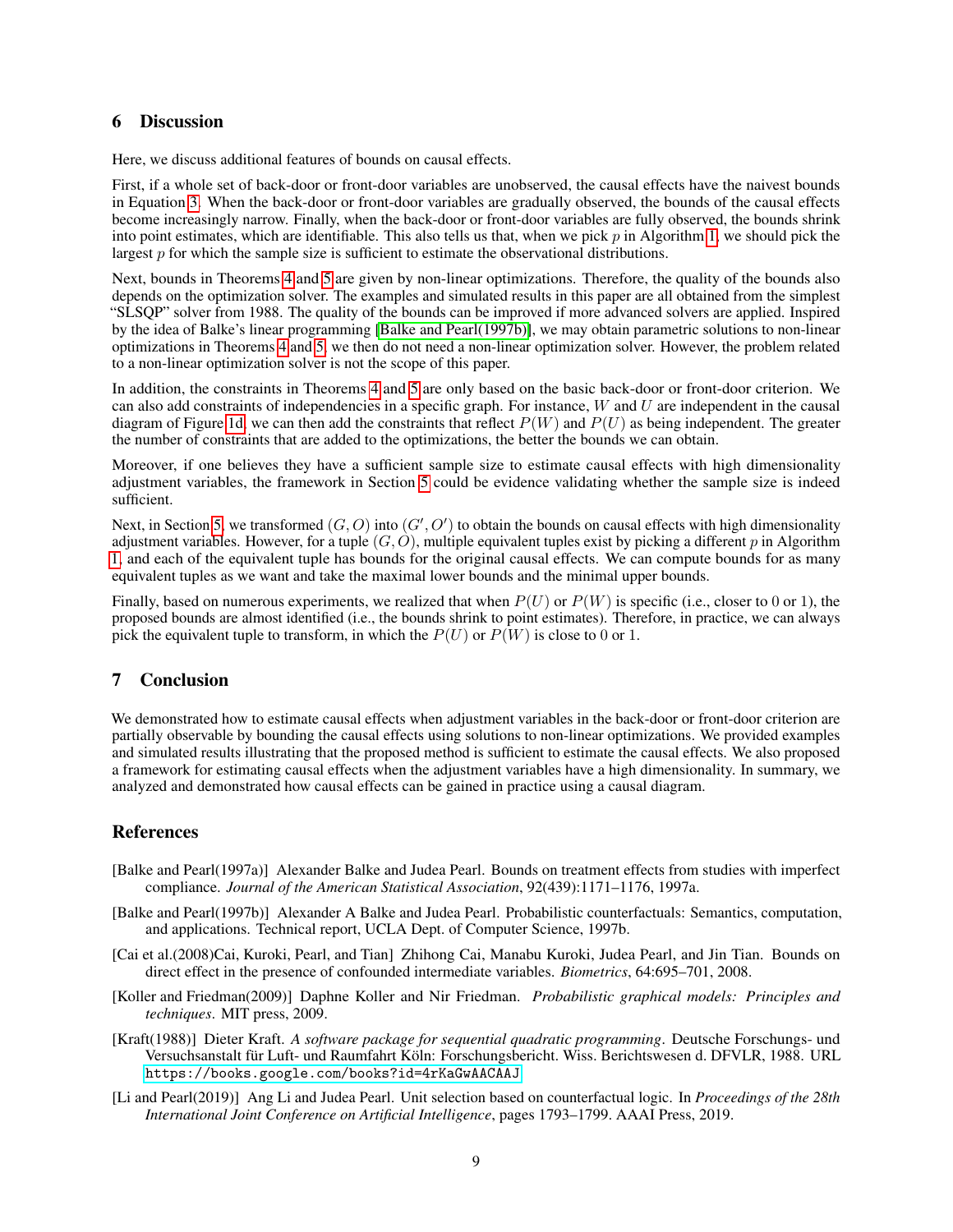# 6 Discussion

Here, we discuss additional features of bounds on causal effects.

First, if a whole set of back-door or front-door variables are unobserved, the causal effects have the naivest bounds in Equation [3.](#page-2-0) When the back-door or front-door variables are gradually observed, the bounds of the causal effects become increasingly narrow. Finally, when the back-door or front-door variables are fully observed, the bounds shrink into point estimates, which are identifiable. This also tells us that, when we pick  $p$  in Algorithm [1,](#page-7-0) we should pick the largest  $p$  for which the sample size is sufficient to estimate the observational distributions.

Next, bounds in Theorems [4](#page-2-1) and [5](#page-3-0) are given by non-linear optimizations. Therefore, the quality of the bounds also depends on the optimization solver. The examples and simulated results in this paper are all obtained from the simplest "SLSQP" solver from 1988. The quality of the bounds can be improved if more advanced solvers are applied. Inspired by the idea of Balke's linear programming [\[Balke and Pearl\(1997b\)\]](#page-8-5), we may obtain parametric solutions to non-linear optimizations in Theorems [4](#page-2-1) and [5,](#page-3-0) we then do not need a non-linear optimization solver. However, the problem related to a non-linear optimization solver is not the scope of this paper.

In addition, the constraints in Theorems [4](#page-2-1) and [5](#page-3-0) are only based on the basic back-door or front-door criterion. We can also add constraints of independencies in a specific graph. For instance,  $W$  and  $U$  are independent in the causal diagram of Figure [1d,](#page-1-0) we can then add the constraints that reflect  $P(W)$  and  $P(U)$  as being independent. The greater the number of constraints that are added to the optimizations, the better the bounds we can obtain.

Moreover, if one believes they have a sufficient sample size to estimate causal effects with high dimensionality adjustment variables, the framework in Section [5](#page-5-2) could be evidence validating whether the sample size is indeed sufficient.

Next, in Section [5,](#page-5-2) we transformed  $(G, O)$  into  $(G', O')$  to obtain the bounds on causal effects with high dimensionality adjustment variables. However, for a tuple  $(G, O)$ , multiple equivalent tuples exist by picking a different p in Algorithm [1,](#page-7-0) and each of the equivalent tuple has bounds for the original causal effects. We can compute bounds for as many equivalent tuples as we want and take the maximal lower bounds and the minimal upper bounds.

Finally, based on numerous experiments, we realized that when  $P(U)$  or  $P(W)$  is specific (i.e., closer to 0 or 1), the proposed bounds are almost identified (i.e., the bounds shrink to point estimates). Therefore, in practice, we can always pick the equivalent tuple to transform, in which the  $P(U)$  or  $P(W)$  is close to 0 or 1.

# 7 Conclusion

We demonstrated how to estimate causal effects when adjustment variables in the back-door or front-door criterion are partially observable by bounding the causal effects using solutions to non-linear optimizations. We provided examples and simulated results illustrating that the proposed method is sufficient to estimate the causal effects. We also proposed a framework for estimating causal effects when the adjustment variables have a high dimensionality. In summary, we analyzed and demonstrated how causal effects can be gained in practice using a causal diagram.

# References

- <span id="page-8-0"></span>[Balke and Pearl(1997a)] Alexander Balke and Judea Pearl. Bounds on treatment effects from studies with imperfect compliance. *Journal of the American Statistical Association*, 92(439):1171–1176, 1997a.
- <span id="page-8-5"></span>[Balke and Pearl(1997b)] Alexander A Balke and Judea Pearl. Probabilistic counterfactuals: Semantics, computation, and applications. Technical report, UCLA Dept. of Computer Science, 1997b.
- <span id="page-8-1"></span>[Cai et al.(2008)Cai, Kuroki, Pearl, and Tian] Zhihong Cai, Manabu Kuroki, Judea Pearl, and Jin Tian. Bounds on direct effect in the presence of confounded intermediate variables. *Biometrics*, 64:695–701, 2008.
- <span id="page-8-3"></span>[Koller and Friedman(2009)] Daphne Koller and Nir Friedman. *Probabilistic graphical models: Principles and techniques*. MIT press, 2009.
- <span id="page-8-4"></span>[Kraft(1988)] Dieter Kraft. *A software package for sequential quadratic programming*. Deutsche Forschungs- und Versuchsanstalt für Luft- und Raumfahrt Köln: Forschungsbericht. Wiss. Berichtswesen d. DFVLR, 1988. URL <https://books.google.com/books?id=4rKaGwAACAAJ>.
- <span id="page-8-2"></span>[Li and Pearl(2019)] Ang Li and Judea Pearl. Unit selection based on counterfactual logic. In *Proceedings of the 28th International Joint Conference on Artificial Intelligence*, pages 1793–1799. AAAI Press, 2019.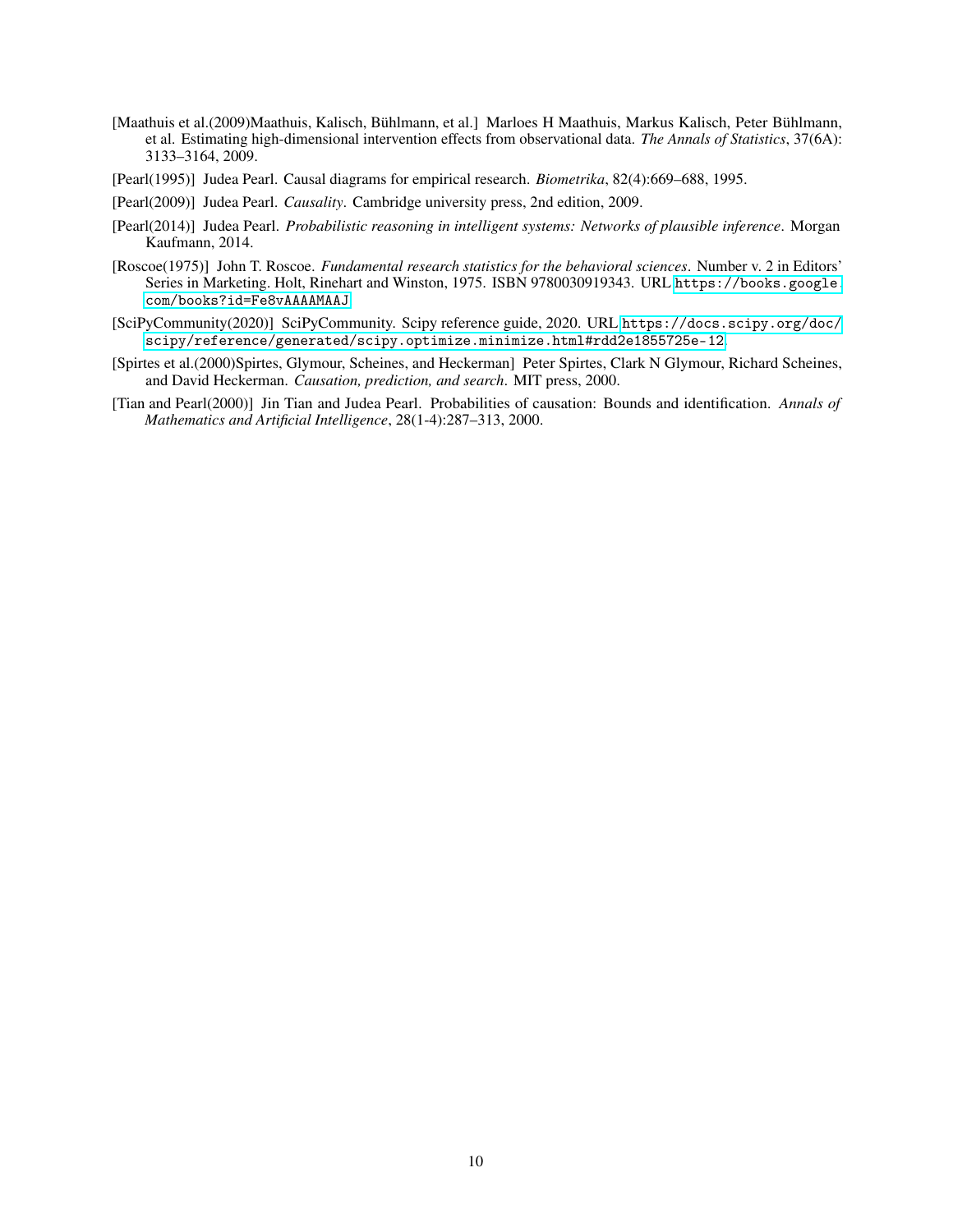- <span id="page-9-5"></span>[Maathuis et al.(2009)Maathuis, Kalisch, Bühlmann, et al.] Marloes H Maathuis, Markus Kalisch, Peter Bühlmann, et al. Estimating high-dimensional intervention effects from observational data. *The Annals of Statistics*, 37(6A): 3133–3164, 2009.
- <span id="page-9-0"></span>[Pearl(1995)] Judea Pearl. Causal diagrams for empirical research. *Biometrika*, 82(4):669–688, 1995.
- <span id="page-9-3"></span>[Pearl(2009)] Judea Pearl. *Causality*. Cambridge university press, 2nd edition, 2009.
- <span id="page-9-4"></span>[Pearl(2014)] Judea Pearl. *Probabilistic reasoning in intelligent systems: Networks of plausible inference*. Morgan Kaufmann, 2014.
- <span id="page-9-7"></span>[Roscoe(1975)] John T. Roscoe. *Fundamental research statistics for the behavioral sciences*. Number v. 2 in Editors' Series in Marketing. Holt, Rinehart and Winston, 1975. ISBN 9780030919343. URL [https://books.google.](https://books.google.com/books?id=Fe8vAAAAMAAJ) [com/books?id=Fe8vAAAAMAAJ](https://books.google.com/books?id=Fe8vAAAAMAAJ).
- <span id="page-9-6"></span>[SciPyCommunity(2020)] SciPyCommunity. Scipy reference guide, 2020. URL [https://docs.scipy.org/doc/](https://docs.scipy.org/doc/scipy/reference/generated/scipy.optimize.minimize.html#rdd2e1855725e-12) [scipy/reference/generated/scipy.optimize.minimize.html#rdd2e1855725e-12](https://docs.scipy.org/doc/scipy/reference/generated/scipy.optimize.minimize.html#rdd2e1855725e-12).
- <span id="page-9-2"></span>[Spirtes et al.(2000)Spirtes, Glymour, Scheines, and Heckerman] Peter Spirtes, Clark N Glymour, Richard Scheines, and David Heckerman. *Causation, prediction, and search*. MIT press, 2000.
- <span id="page-9-1"></span>[Tian and Pearl(2000)] Jin Tian and Judea Pearl. Probabilities of causation: Bounds and identification. *Annals of Mathematics and Artificial Intelligence*, 28(1-4):287–313, 2000.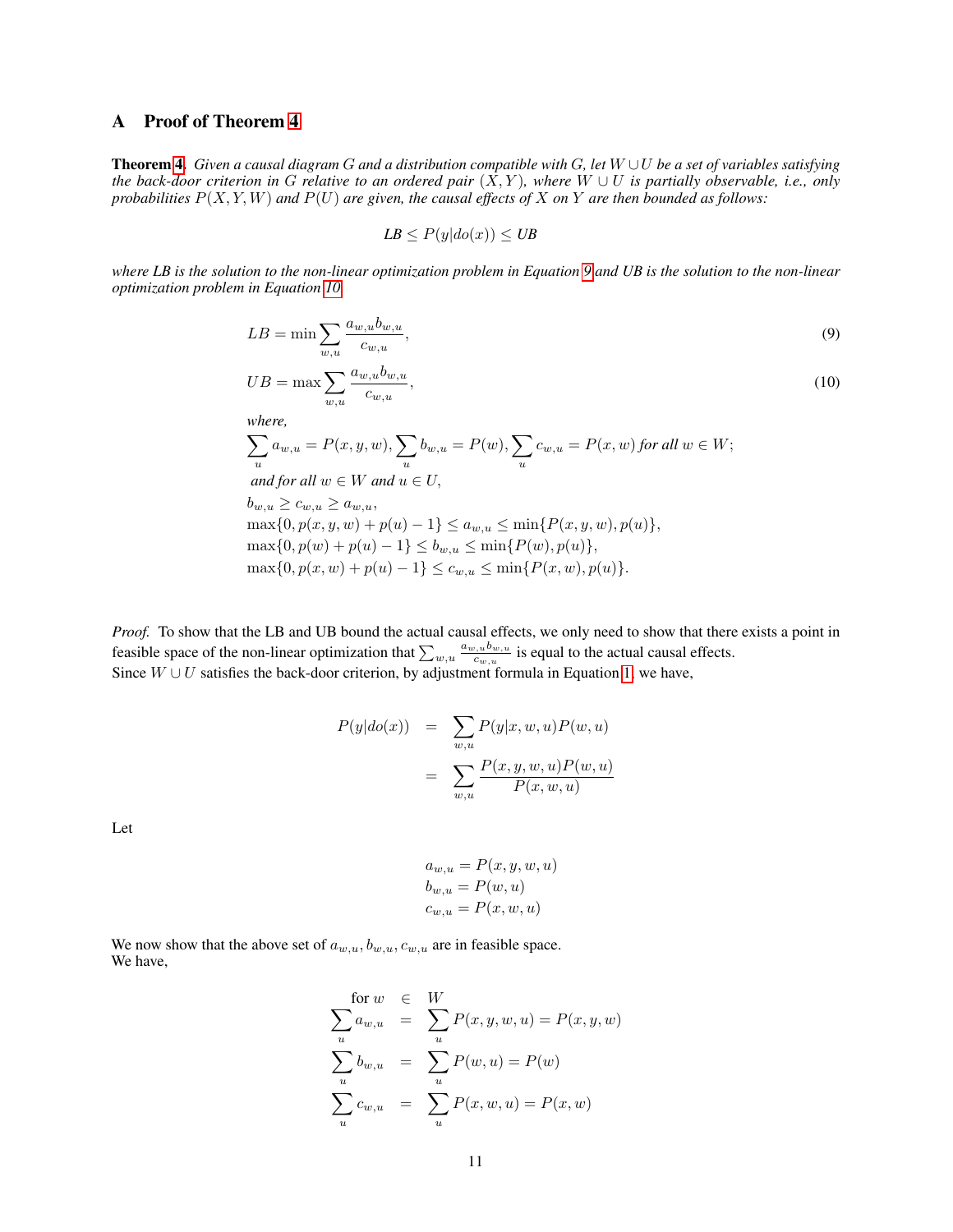# A Proof of Theorem [4](#page-2-1)

Theorem [4.](#page-2-1) *Given a causal diagram* G *and a distribution compatible with* G*, let* W ∪U *be a set of variables satisfying the back-door criterion in* G *relative to an ordered pair*  $(X, Y)$ *, where*  $W \cup U$  *is partially observable, i.e., only probabilities* P(X, Y, W) *and* P(U) *are given, the causal effects of* X *on* Y *are then bounded as follows:*

$$
LB \le P(y|do(x)) \le UB
$$

*where LB is the solution to the non-linear optimization problem in Equation [9](#page-10-0) and UB is the solution to the non-linear optimization problem in Equation [10.](#page-10-0)*

<span id="page-10-0"></span>
$$
LB = \min \sum_{w,u} \frac{a_{w,u}b_{w,u}}{c_{w,u}},\tag{9}
$$

$$
UB = \max \sum_{w,u} \frac{a_{w,u}b_{w,u}}{c_{w,u}},\tag{10}
$$

where,  
\n
$$
\sum_{u} a_{w,u} = P(x, y, w), \sum_{u} b_{w,u} = P(w), \sum_{u} c_{w,u} = P(x, w) \text{ for all } w \in W; \nand for all  $w \in W$  and  $u \in U$ ,  
\n
$$
b_{w,u} \ge c_{w,u} \ge a_{w,u},
$$
\n
$$
\max\{0, p(x, y, w) + p(u) - 1\} \le a_{w,u} \le \min\{P(x, y, w), p(u)\},
$$
\n
$$
\max\{0, p(w) + p(u) - 1\} \le b_{w,u} \le \min\{P(w), p(u)\},
$$
$$

$$
\max\{0, p(x, w) + p(u) - 1\} \leq c_{w, u} \leq \min\{P(x, w), P(u)\},
$$
  

$$
\max\{0, p(x, w) + p(u) - 1\} \leq c_{w, u} \leq \min\{P(x, w), P(u)\}.
$$

*Proof.* To show that the LB and UB bound the actual causal effects, we only need to show that there exists a point in feasible space of the non-linear optimization that  $\sum_{w,u} \frac{a_{w,u}b_{w,u}}{c_{w,u}}$  $\frac{c_{w,u}v_{w,u}}{c_{w,u}}$  is equal to the actual causal effects. Since  $W \cup U$  satisfies the back-door criterion, by adjustment formula in Equation [1,](#page-1-1) we have,

$$
P(y|do(x)) = \sum_{w,u} P(y|x, w, u)P(w, u)
$$

$$
= \sum_{w,u} \frac{P(x, y, w, u)P(w, u)}{P(x, w, u)}
$$

Let

$$
a_{w,u} = P(x, y, w, u)
$$
  
\n
$$
b_{w,u} = P(w, u)
$$
  
\n
$$
c_{w,u} = P(x, w, u)
$$

We now show that the above set of  $a_{w,u}, b_{w,u}, c_{w,u}$  are in feasible space. We have,

$$
\begin{aligned}\n\text{for } w & \in & W \\
\sum_{u} a_{w,u} & = & \sum_{u} P(x,y,w,u) = P(x,y,w) \\
\sum_{u} b_{w,u} & = & \sum_{u} P(w,u) = P(w) \\
\sum_{u} c_{w,u} & = & \sum_{u} P(x,w,u) = P(x,w)\n\end{aligned}
$$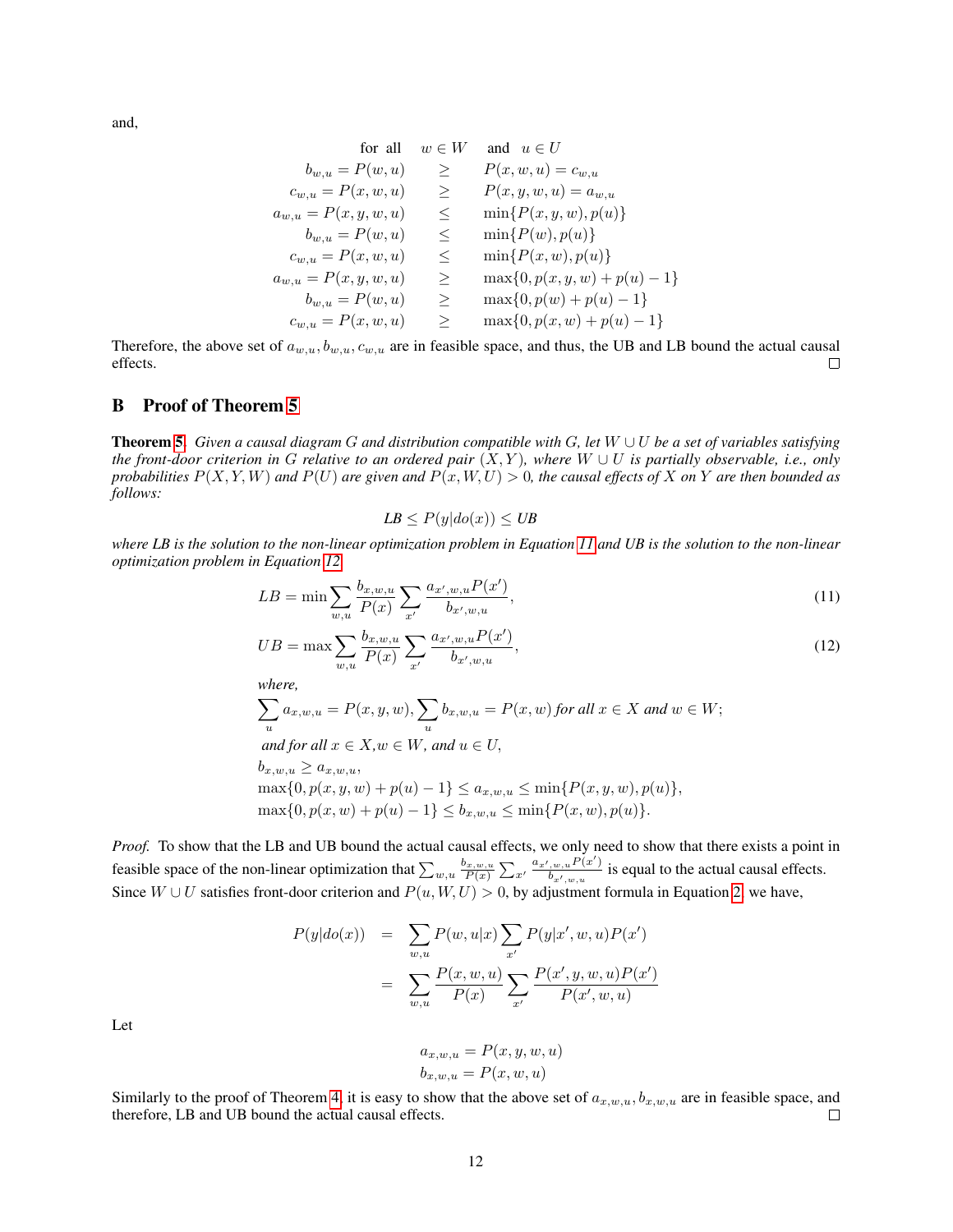and,

$$
\begin{array}{rcl}\n\text{for all} & w \in W & \text{and} & u \in U \\
b_{w,u} = P(w,u) & \geq & P(x,w,u) = c_{w,u} \\
c_{w,u} = P(x,w,u) & \geq & P(x,y,w,u) = a_{w,u} \\
a_{w,u} = P(x,y,w,u) & \leq & \min\{P(x,y,w),p(u)\} \\
b_{w,u} = P(w,u) & \leq & \min\{P(w),p(u)\} \\
c_{w,u} = P(x,w,u) & \leq & \min\{P(x,w),p(u)\} \\
a_{w,u} = P(x,y,w,u) & \geq & \max\{0,p(x,y,w)+p(u)-1\} \\
b_{w,u} = P(w,u) & \geq & \max\{0,p(w)+p(u)-1\} \\
c_{w,u} = P(x,w,u) & \geq & \max\{0,p(x,w)+p(u)-1\}\n\end{array}
$$

Therefore, the above set of  $a_{w,u}, b_{w,u}, c_{w,u}$  are in feasible space, and thus, the UB and LB bound the actual causal effects.  $\Box$ 

# B Proof of Theorem [5](#page-3-0)

Theorem [5.](#page-3-0) *Given a causal diagram* G *and distribution compatible with* G*, let* W ∪ U *be a set of variables satisfying the front-door criterion in* G *relative to an ordered pair*  $(X, Y)$ *, where*  $W \cup U$  *is partially observable, i.e., only probabilities*  $P(X, Y, W)$  *and*  $P(U)$  *are given and*  $P(x, W, U) > 0$ *, the causal effects of* X *on* Y *are then bounded as follows:*

$$
LB \le P(y|do(x)) \le UB
$$

*where LB is the solution to the non-linear optimization problem in Equation [11](#page-11-0) and UB is the solution to the non-linear optimization problem in Equation [12.](#page-11-0)*

<span id="page-11-0"></span>
$$
LB = \min \sum_{w,u} \frac{b_{x,w,u}}{P(x)} \sum_{x'} \frac{a_{x',w,u} P(x')}{b_{x',w,u}},
$$
\n(11)

$$
UB = \max \sum_{w,u} \frac{b_{x,w,u}}{P(x)} \sum_{x'} \frac{a_{x',w,u} P(x')}{b_{x',w,u}},
$$
\n(12)

*where,*

$$
\sum_{u} a_{x,w,u} = P(x, y, w), \sum_{u} b_{x,w,u} = P(x, w) \text{ for all } x \in X \text{ and } w \in W; \\
 \text{and for all } x \in X, w \in W, \text{ and } u \in U, \\
 b_{x,w,u} \ge a_{x,w,u}, \\
 \max\{0, p(x, y, w) + p(u) - 1\} \le a_{x,w,u} \le \min\{P(x, y, w), p(u)\}, \\
 \max\{0, p(x, w) + p(u) - 1\} \le b_{x,w,u} \le \min\{P(x, w), p(u)\}.
$$

*Proof.* To show that the LB and UB bound the actual causal effects, we only need to show that there exists a point in feasible space of the non-linear optimization that  $\sum_{w,u} \frac{b_{x,w,u}}{P(x)} \sum_{x'} \frac{a_{x',w,u} P(x')}{b_{x',w,u}}$  $\frac{w, u^{(1)}(x)}{b_{x',w,u}}$  is equal to the actual causal effects. Since  $W \cup U$  satisfies front-door criterion and  $P(u, W, U) > 0$ , by adjustment formula in Equation [2,](#page-1-2) we have,

$$
P(y|do(x)) = \sum_{w,u} P(w, u|x) \sum_{x'} P(y|x', w, u) P(x')
$$
  
= 
$$
\sum_{w,u} \frac{P(x, w, u)}{P(x)} \sum_{x'} \frac{P(x', y, w, u) P(x')}{P(x', w, u)}
$$

Let

$$
a_{x,w,u} = P(x, y, w, u)
$$

$$
b_{x,w,u} = P(x, w, u)
$$

Similarly to the proof of Theorem [4,](#page-2-1) it is easy to show that the above set of  $a_{x,w,u}$ ,  $b_{x,w,u}$  are in feasible space, and therefore, LB and UB bound the actual causal effects.  $\Box$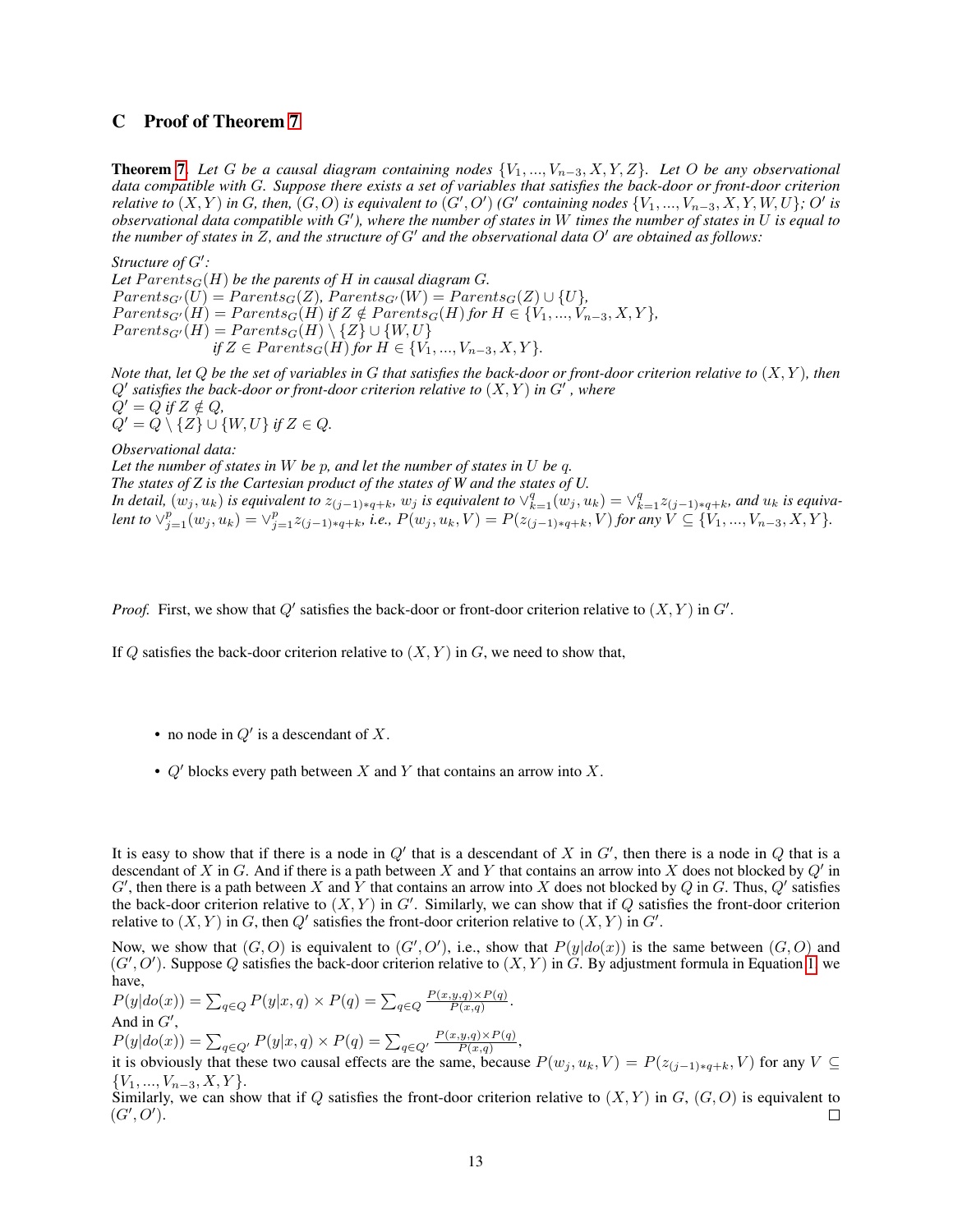### C Proof of Theorem [7](#page-5-1)

Theorem [7.](#page-5-1) *Let* G *be a causal diagram containing nodes* {V1, ..., Vn−3, X, Y, Z}*. Let* O *be any observational data compatible with* G*. Suppose there exists a set of variables that satisfies the back-door or front-door criterion relative to*  $(X, Y)$  in G, then,  $(G, O)$  is equivalent to  $(G', O')$  (G' containing nodes  $\{V_1, ..., V_{n-3}, X, Y, W, U\}$ ; O' is *dbservational data compatible with G'), where the number of states in* W *times the number of states in* U *is equal to the number of states in*  $Z$ *, and the structure of*  $G'$  *and the observational data*  $O'$  *are obtained as follows:* 

Structure of  $G'$ :

Let  $Parents<sub>G</sub>(H)$  *be the parents of* H *in causal diagram G*.  $Parents_{G'}(U) = Parents_{G}(Z)$ ,  $Parents_{G'}(W) = Parents_{G}(Z) \cup \{U\},$  $Parents_{G'}(H) = Parents_{G}(H)$  *if*  $Z \notin Parents_{G}(H)$  *for*  $H \in \{V_1, ..., V_{n-3}, X, Y\}$ *,*  $Parents_{G'}(H) = Parents_{G}(H) \setminus \{Z\} \cup \{W,U\}$ *if*  $Z \in Parents_G(H)$  *for*  $H \in \{V_1, ..., V_{n-3}, X, Y\}.$ 

*Note that, let* Q *be the set of variables in* G *that satisfies the back-door or front-door criterion relative to* (X, Y )*, then*  $Q'$  satisfies the back-door or front-door criterion relative to  $(X,Y)$  in  $G'$  , where  $Q' = Q$  *if*  $Z \notin Q$ *,*  $Q' = Q \setminus \{Z\} \cup \{W, U\}$  *if*  $Z \in Q$ .

*Observational data:*

*Let the number of states in* W *be* p*, and let the number of states in* U *be* q*. The states of Z is the Cartesian product of the states of W and the states of U. In detail,*  $(w_j, u_k)$  *is equivalent to*  $z_{(j-1)*q+k}$ ,  $w_j$  *is equivalent to*  $\vee_{k=1}^q (w_j, u_k) = \vee_{k=1}^q z_{(j-1)*q+k}$ , and  $u_k$  *is equiva*- $\chi$  lent to  $\vee_{j=1}^p(w_j, u_k) = \vee_{j=1}^p z_{(j-1)*q+k}$ , i.e.,  $P(w_j, u_k, V) = P(z_{(j-1)*q+k}, V)$  for any  $V \subseteq \{V_1, ..., V_{n-3}, X, Y\}$ .

*Proof.* First, we show that  $Q'$  satisfies the back-door or front-door criterion relative to  $(X, Y)$  in  $G'$ .

If Q satisfies the back-door criterion relative to  $(X, Y)$  in G, we need to show that,

- no node in  $Q'$  is a descendant of X.
- $Q'$  blocks every path between X and Y that contains an arrow into X.

It is easy to show that if there is a node in  $Q'$  that is a descendant of X in  $G'$ , then there is a node in  $Q$  that is a descendant of X in G. And if there is a path between X and Y that contains an arrow into X does not blocked by  $Q'$  in G', then there is a path between X and Y that contains an arrow into X does not blocked by Q in G. Thus, Q' satisfies the back-door criterion relative to  $(X, Y)$  in  $G'$ . Similarly, we can show that if Q satisfies the front-door criterion relative to  $(X, Y)$  in G, then Q' satisfies the front-door criterion relative to  $(X, Y)$  in G'.

Now, we show that  $(G, O)$  is equivalent to  $(G', O')$ , i.e., show that  $P(y|do(x))$  is the same between  $(G, O)$  and  $(G', O')$ . Suppose Q satisfies the back-door criterion relative to  $(X, Y)$  in G. By adjustment formula in Equation [1,](#page-1-1) we have,

 $P(y|do(x)) = \sum_{q \in Q} P(y|x,q) \times P(q) = \sum_{q \in Q} \frac{P(x,y,q) \times P(q)}{P(x,q)}$  $\frac{g,g) \times P(q)}{P(x,q)}$ . And in  $G'$ ,

 $P(y|do(x)) = \sum_{q \in Q'} P(y|x,q) \times P(q) = \sum_{q \in Q'} \frac{P(x,y,q) \times P(q)}{P(x,q)}$  $\frac{g,g(xP(q))}{P(x,q)},$ 

it is obviously that these two causal effects are the same, because  $P(w_j, u_k, V) = P(z_{(j-1)*q+k}, V)$  for any  $V \subseteq$  ${V_1, ..., V_{n-3}, X, Y}.$ 

Similarly, we can show that if Q satisfies the front-door criterion relative to  $(X, Y)$  in  $G, (G, O)$  is equivalent to  $(G', O').$  $\Box$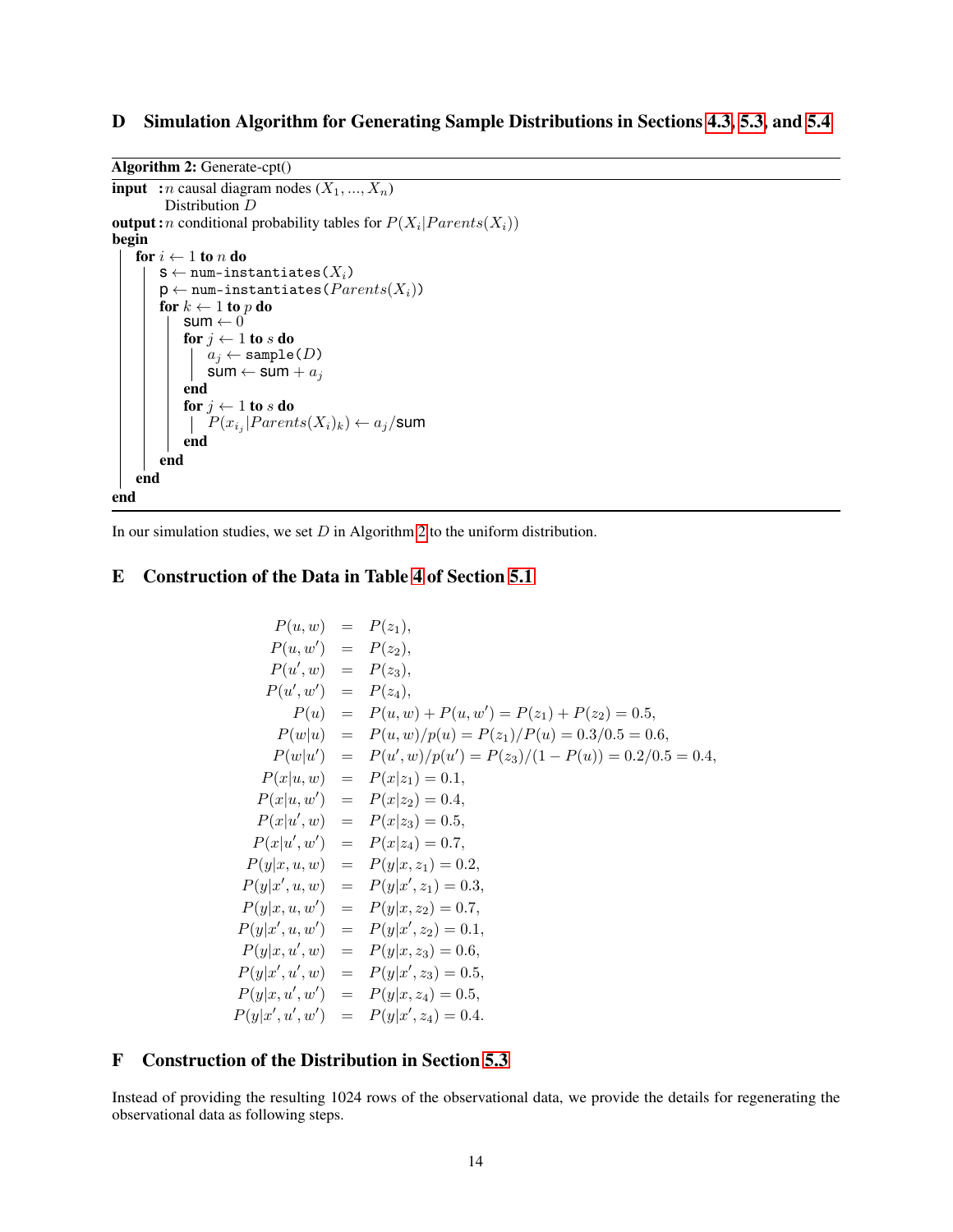# D Simulation Algorithm for Generating Sample Distributions in Sections [4.3,](#page-4-2) [5.3,](#page-6-1) and [5.4](#page-7-1)

Algorithm 2: Generate-cpt()

```
input : n causal diagram nodes (X_1, ..., X_n)Distribution D
output: n conditional probability tables for P(X_i | Parents(X_i))begin
    for i \leftarrow 1 to n do
         \texttt{S} \leftarrow \texttt{num-instantiates}\left(X_i\right)p \leftarrow num-instantiates (Parents(X_i))
         for k \leftarrow 1 to p do
              sum \leftarrow 0for j \leftarrow 1 to s do
                  a_j \leftarrow sample(D)
                  sum \leftarrow sum + a_jend
              for j \leftarrow 1 to s do
                   P(x_{i_j}|Parents(X_i)_k) \leftarrow a_j/\textsf{sum}end
         end
    end
end
```
<span id="page-13-0"></span>In our simulation studies, we set  $D$  in Algorithm [2](#page-13-0) to the uniform distribution.

# E Construction of the Data in Table [4](#page-6-0) of Section [5.1](#page-5-3)

$$
P(u, w) = P(z_1),
$$
  
\n
$$
P(u, w') = P(z_2),
$$
  
\n
$$
P(u', w') = P(z_3),
$$
  
\n
$$
P(u) = P(u, w) + P(u, w') = P(z_1) + P(z_2) = 0.5,
$$
  
\n
$$
P(w|u) = P(u, w)/p(u) = P(z_1)/P(u) = 0.3/0.5 = 0.6,
$$
  
\n
$$
P(w|u') = P(u', w)/p(u') = P(z_3)/(1 - P(u)) = 0.2/0.5 = 0.4,
$$
  
\n
$$
P(x|u, w) = P(x|z_1) = 0.1,
$$
  
\n
$$
P(x|u, w') = P(x|z_2) = 0.4,
$$
  
\n
$$
P(x|u', w) = P(x|z_3) = 0.5,
$$
  
\n
$$
P(x|u', w') = P(x|z_4) = 0.7,
$$
  
\n
$$
P(y|x, u, w) = P(y|x, z_1) = 0.2,
$$
  
\n
$$
P(y|x', u, w') = P(y|x', z_1) = 0.3,
$$
  
\n
$$
P(y|x', u, w') = P(y|x', z_2) = 0.7,
$$
  
\n
$$
P(y|x', u, w') = P(y|x', z_2) = 0.5,
$$
  
\n
$$
P(y|x', u', w) = P(y|x', z_3) = 0.6,
$$
  
\n
$$
P(y|x', u', w') = P(y|x', z_3) = 0.5,
$$
  
\n
$$
P(y|x', u', w') = P(y|x', z_4) = 0.5,
$$
  
\n
$$
P(y|x', u', w') = P(y|x', z_4) = 0.4.
$$

# F Construction of the Distribution in Section [5.3](#page-6-1)

Instead of providing the resulting 1024 rows of the observational data, we provide the details for regenerating the observational data as following steps.